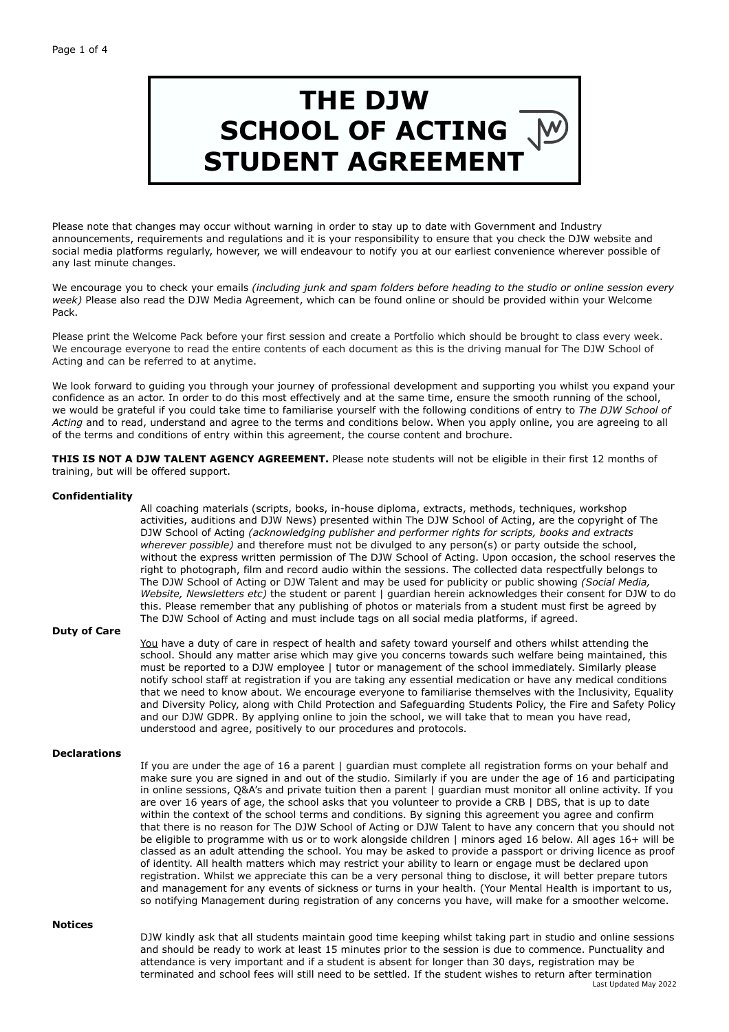# **THE DJW SCHOOL OF ACTING STUDENT AGREEMENT**

Please note that changes may occur without warning in order to stay up to date with Government and Industry announcements, requirements and regulations and it is your responsibility to ensure that you check the DJW website and social media platforms regularly, however, we will endeavour to notify you at our earliest convenience wherever possible of any last minute changes.

We encourage you to check your emails *(including junk and spam folders before heading to the studio or online session every week)* Please also read the DJW Media Agreement, which can be found online or should be provided within your Welcome Pack.

Please print the Welcome Pack before your first session and create a Portfolio which should be brought to class every week. We encourage everyone to read the entire contents of each document as this is the driving manual for The DJW School of Acting and can be referred to at anytime.

We look forward to guiding you through your journey of professional development and supporting you whilst you expand your confidence as an actor. In order to do this most effectively and at the same time, ensure the smooth running of the school, we would be grateful if you could take time to familiarise yourself with the following conditions of entry to *The DJW School of Acting* and to read, understand and agree to the terms and conditions below. When you apply online, you are agreeing to all of the terms and conditions of entry within this agreement, the course content and brochure.

**THIS IS NOT A DJW TALENT AGENCY AGREEMENT.** Please note students will not be eligible in their first 12 months of training, but will be offered support.

## **Confidentiality**

 All coaching materials (scripts, books, in-house diploma, extracts, methods, techniques, workshop activities, auditions and DJW News) presented within The DJW School of Acting, are the copyright of The DJW School of Acting *(acknowledging publisher and performer rights for scripts, books and extracts wherever possible)* and therefore must not be divulged to any person(s) or party outside the school, without the express written permission of The DJW School of Acting. Upon occasion, the school reserves the right to photograph, film and record audio within the sessions. The collected data respectfully belongs to The DJW School of Acting or DJW Talent and may be used for publicity or public showing *(Social Media, Website, Newsletters etc)* the student or parent | guardian herein acknowledges their consent for DJW to do this. Please remember that any publishing of photos or materials from a student must first be agreed by The DJW School of Acting and must include tags on all social media platforms, if agreed.

# **Duty of Care**

You have a duty of care in respect of health and safety toward yourself and others whilst attending the school. Should any matter arise which may give you concerns towards such welfare being maintained, this must be reported to a DJW employee | tutor or management of the school immediately. Similarly please notify school staff at registration if you are taking any essential medication or have any medical conditions that we need to know about. We encourage everyone to familiarise themselves with the Inclusivity, Equality and Diversity Policy, along with Child Protection and Safeguarding Students Policy, the Fire and Safety Policy and our DJW GDPR. By applying online to join the school, we will take that to mean you have read, understood and agree, positively to our procedures and protocols.

### **Declarations**

 If you are under the age of 16 a parent | guardian must complete all registration forms on your behalf and make sure you are signed in and out of the studio. Similarly if you are under the age of 16 and participating in online sessions, Q&A's and private tuition then a parent | guardian must monitor all online activity. If you are over 16 years of age, the school asks that you volunteer to provide a CRB | DBS, that is up to date within the context of the school terms and conditions. By signing this agreement you agree and confirm that there is no reason for The DJW School of Acting or DJW Talent to have any concern that you should not be eligible to programme with us or to work alongside children | minors aged 16 below. All ages 16+ will be classed as an adult attending the school. You may be asked to provide a passport or driving licence as proof of identity. All health matters which may restrict your ability to learn or engage must be declared upon registration. Whilst we appreciate this can be a very personal thing to disclose, it will better prepare tutors and management for any events of sickness or turns in your health. (Your Mental Health is important to us, so notifying Management during registration of any concerns you have, will make for a smoother welcome.

#### **Notices**

 DJW kindly ask that all students maintain good time keeping whilst taking part in studio and online sessions and should be ready to work at least 15 minutes prior to the session is due to commence. Punctuality and attendance is very important and if a student is absent for longer than 30 days, registration may be terminated and school fees will still need to be settled. If the student wishes to return after termination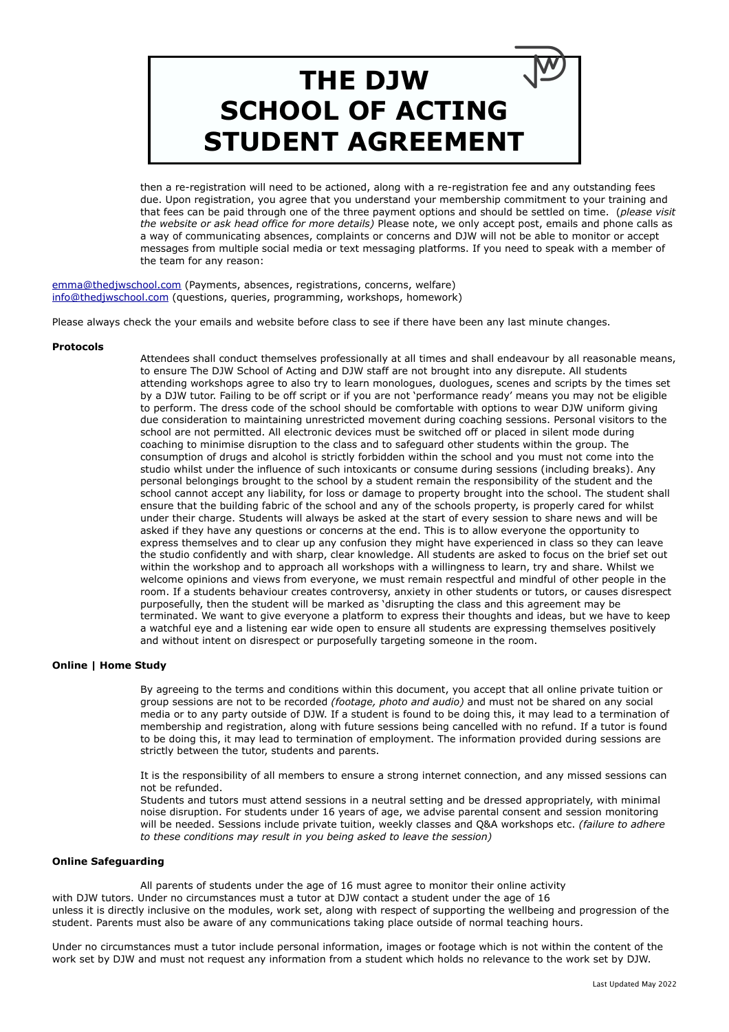# **THE DJW SCHOOL OF ACTING STUDENT AGREEMENT**

then a re-registration will need to be actioned, along with a re-registration fee and any outstanding fees due. Upon registration, you agree that you understand your membership commitment to your training and that fees can be paid through one of the three payment options and should be settled on time. (*please visit the website or ask head office for more details)* Please note, we only accept post, emails and phone calls as a way of communicating absences, complaints or concerns and DJW will not be able to monitor or accept messages from multiple social media or text messaging platforms. If you need to speak with a member of the team for any reason:

[emma@thedjwschool.com](mailto:emma@thedjwschool.com) (Payments, absences, registrations, concerns, welfare) [info@thedjwschool.com](mailto:info@thedjwschool.com) (questions, queries, programming, workshops, homework)

Please always check the your emails and website before class to see if there have been any last minute changes.

### **Protocols**

 Attendees shall conduct themselves professionally at all times and shall endeavour by all reasonable means, to ensure The DJW School of Acting and DJW staff are not brought into any disrepute. All students attending workshops agree to also try to learn monologues, duologues, scenes and scripts by the times set by a DJW tutor. Failing to be off script or if you are not 'performance ready' means you may not be eligible to perform. The dress code of the school should be comfortable with options to wear DJW uniform giving due consideration to maintaining unrestricted movement during coaching sessions. Personal visitors to the school are not permitted. All electronic devices must be switched off or placed in silent mode during coaching to minimise disruption to the class and to safeguard other students within the group. The consumption of drugs and alcohol is strictly forbidden within the school and you must not come into the studio whilst under the influence of such intoxicants or consume during sessions (including breaks). Any personal belongings brought to the school by a student remain the responsibility of the student and the school cannot accept any liability, for loss or damage to property brought into the school. The student shall ensure that the building fabric of the school and any of the schools property, is properly cared for whilst under their charge. Students will always be asked at the start of every session to share news and will be asked if they have any questions or concerns at the end. This is to allow everyone the opportunity to express themselves and to clear up any confusion they might have experienced in class so they can leave the studio confidently and with sharp, clear knowledge. All students are asked to focus on the brief set out within the workshop and to approach all workshops with a willingness to learn, try and share. Whilst we welcome opinions and views from everyone, we must remain respectful and mindful of other people in the room. If a students behaviour creates controversy, anxiety in other students or tutors, or causes disrespect purposefully, then the student will be marked as 'disrupting the class and this agreement may be terminated. We want to give everyone a platform to express their thoughts and ideas, but we have to keep a watchful eye and a listening ear wide open to ensure all students are expressing themselves positively and without intent on disrespect or purposefully targeting someone in the room.

## **Online | Home Study**

By agreeing to the terms and conditions within this document, you accept that all online private tuition or group sessions are not to be recorded *(footage, photo and audio)* and must not be shared on any social media or to any party outside of DJW. If a student is found to be doing this, it may lead to a termination of membership and registration, along with future sessions being cancelled with no refund. If a tutor is found to be doing this, it may lead to termination of employment. The information provided during sessions are strictly between the tutor, students and parents.

 It is the responsibility of all members to ensure a strong internet connection, and any missed sessions can not be refunded.

 Students and tutors must attend sessions in a neutral setting and be dressed appropriately, with minimal noise disruption. For students under 16 years of age, we advise parental consent and session monitoring will be needed. Sessions include private tuition, weekly classes and Q&A workshops etc. *(failure to adhere to these conditions may result in you being asked to leave the session)*

### **Online Safeguarding**

 All parents of students under the age of 16 must agree to monitor their online activity with DJW tutors. Under no circumstances must a tutor at DJW contact a student under the age of 16 unless it is directly inclusive on the modules, work set, along with respect of supporting the wellbeing and progression of the student. Parents must also be aware of any communications taking place outside of normal teaching hours.

Under no circumstances must a tutor include personal information, images or footage which is not within the content of the work set by DJW and must not request any information from a student which holds no relevance to the work set by DJW.